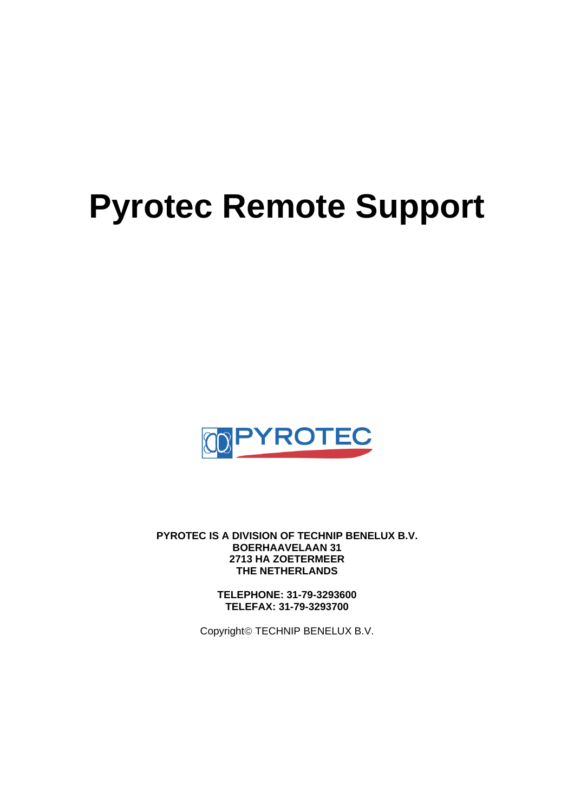# **Pyrotec Remote Support**



**PYROTEC IS A DIVISION OF TECHNIP BENELUX B.V. BOERHAAVELAAN 31 2713 HA ZOETERMEER THE NETHERLANDS**

> **TELEPHONE: 31-79-3293600 TELEFAX: 31-79-3293700**

Copyright© TECHNIP BENELUX B.V.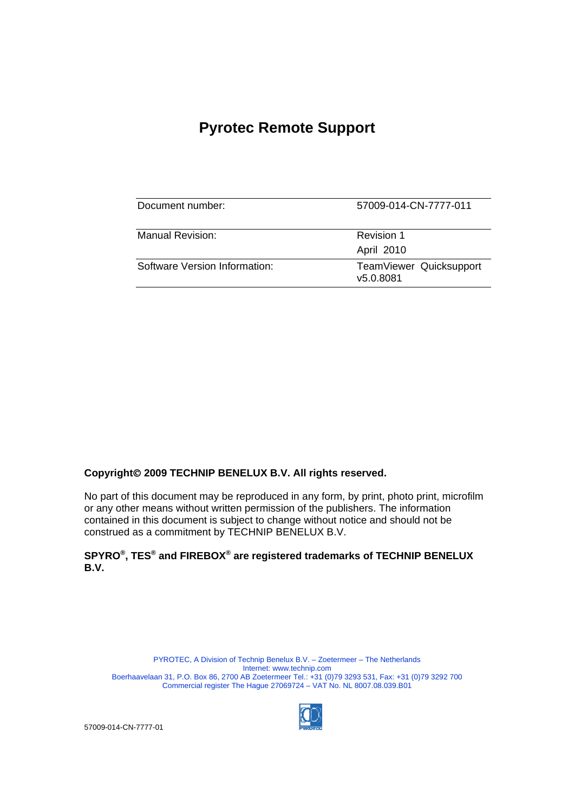## **Pyrotec Remote Support**

| Document number:              | 57009-014-CN-7777-011                |
|-------------------------------|--------------------------------------|
| Manual Revision:              | Revision 1<br>April 2010             |
| Software Version Information: | TeamViewer Quicksupport<br>v5.0.8081 |

#### **Copyright**© **2009 TECHNIP BENELUX B.V. All rights reserved.**

No part of this document may be reproduced in any form, by print, photo print, microfilm or any other means without written permission of the publishers. The information contained in this document is subject to change without notice and should not be construed as a commitment by TECHNIP BENELUX B.V.

### **SPYRO®, TES® and FIREBOX® are registered trademarks of TECHNIP BENELUX B.V.**

PYROTEC, A Division of Technip Benelux B.V. – Zoetermeer – The Netherlands Internet: www.technip.com Boerhaavelaan 31, P.O. Box 86, 2700 AB Zoetermeer Tel.: +31 (0)79 3293 531, Fax: +31 (0)79 3292 700 Commercial register The Hague 27069724 – VAT No. NL 8007.08.039.B01

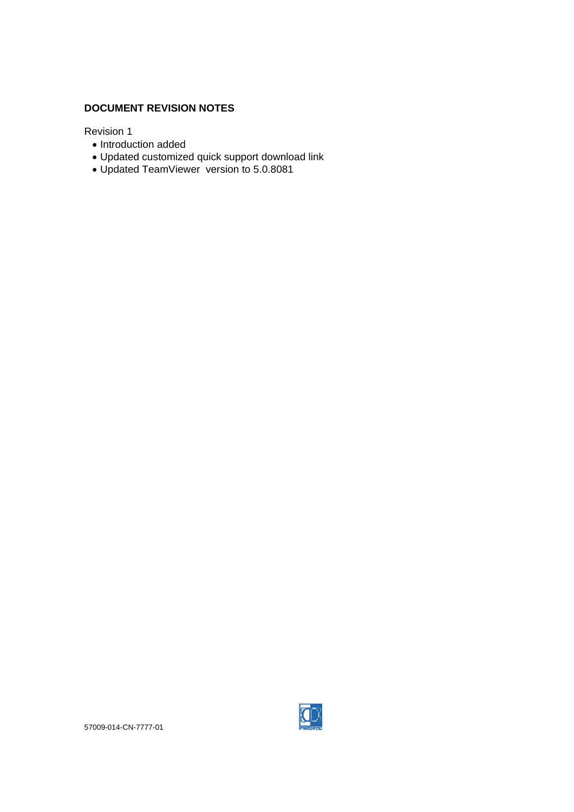#### **DOCUMENT REVISION NOTES**

Revision 1

- Introduction added
- Updated customized quick support download link
- Updated TeamViewer version to 5.0.8081

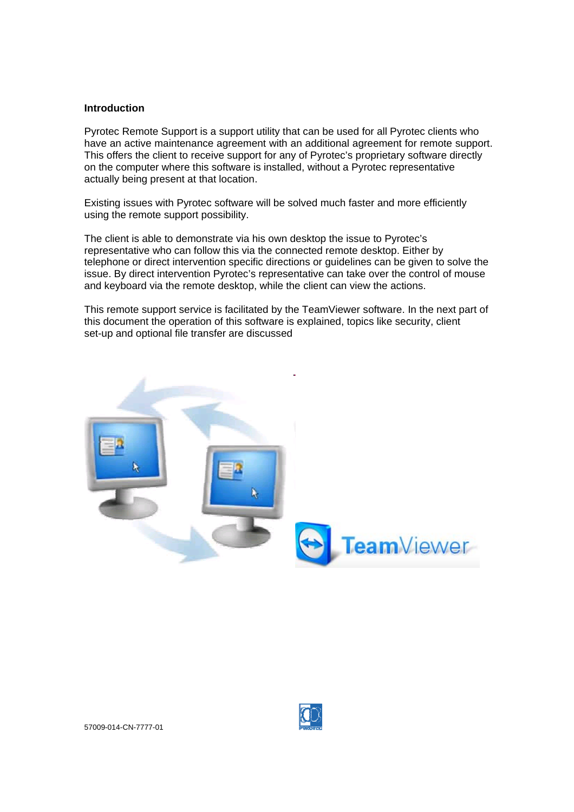#### **Introduction**

Pyrotec Remote Support is a support utility that can be used for all Pyrotec clients who have an active maintenance agreement with an additional agreement for remote support. This offers the client to receive support for any of Pyrotec's proprietary software directly on the computer where this software is installed, without a Pyrotec representative actually being present at that location.

Existing issues with Pyrotec software will be solved much faster and more efficiently using the remote support possibility.

The client is able to demonstrate via his own desktop the issue to Pyrotec's representative who can follow this via the connected remote desktop. Either by telephone or direct intervention specific directions or guidelines can be given to solve the issue. By direct intervention Pyrotec's representative can take over the control of mouse and keyboard via the remote desktop, while the client can view the actions.

This remote support service is facilitated by the TeamViewer software. In the next part of this document the operation of this software is explained, topics like security, client set-up and optional file transfer are discussed

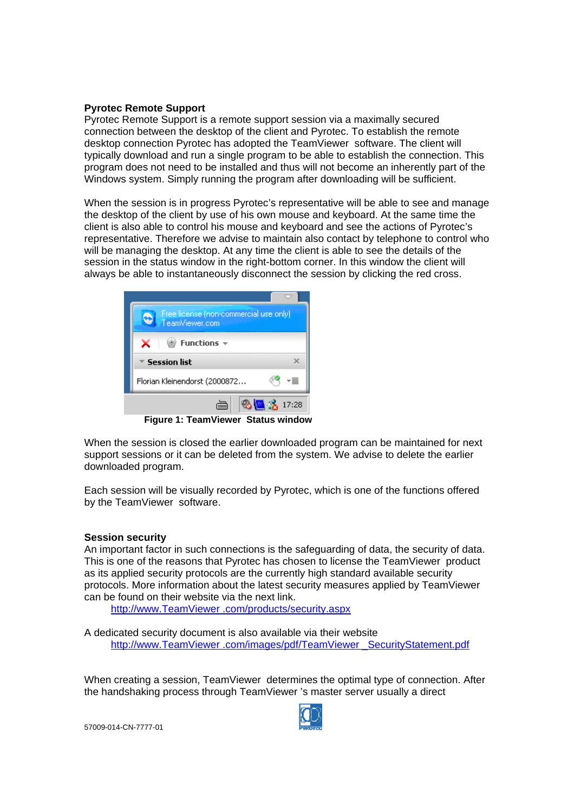#### **Pyrotec Remote Support**

Pyrotec Remote Support is a remote support session via a maximally secured connection between the desktop of the client and Pyrotec. To establish the remote desktop connection Pyrotec has adopted the TeamViewer software. The client will typically download and run a single program to be able to establish the connection. This program does not need to be installed and thus will not become an inherently part of the Windows system. Simply running the program after downloading will be sufficient.

When the session is in progress Pyrotec's representative will be able to see and manage the desktop of the client by use of his own mouse and keyboard. At the same time the client is also able to control his mouse and keyboard and see the actions of Pyrotec's representative. Therefore we advise to maintain also contact by telephone to control who will be managing the desktop. At any time the client is able to see the details of the session in the status window in the right-bottom corner. In this window the client will always be able to instantaneously disconnect the session by clicking the red cross.



**Figure 1: TeamViewer Status window** 

When the session is closed the earlier downloaded program can be maintained for next support sessions or it can be deleted from the system. We advise to delete the earlier downloaded program.

Each session will be visually recorded by Pyrotec, which is one of the functions offered by the TeamViewer software.

#### **Session security**

An important factor in such connections is the safeguarding of data, the security of data. This is one of the reasons that Pyrotec has chosen to license the TeamViewer product as its applied security protocols are the currently high standard available security protocols. More information about the latest security measures applied by TeamViewer can be found on their website via the next link.

http://www.TeamViewer .com/products/security.aspx

A dedicated security document is also available via their website http://www.TeamViewer .com/images/pdf/TeamViewer \_SecurityStatement.pdf

When creating a session, TeamViewer determines the optimal type of connection. After the handshaking process through TeamViewer 's master server usually a direct

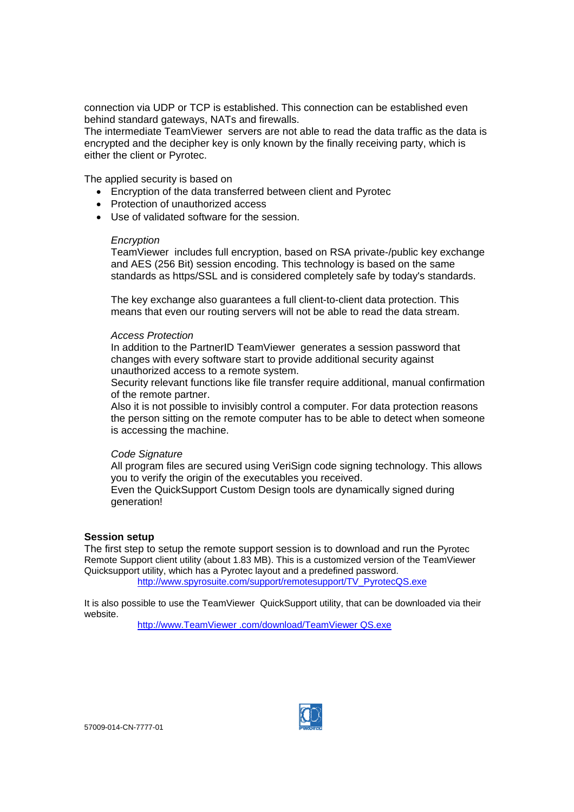connection via UDP or TCP is established. This connection can be established even behind standard gateways, NATs and firewalls.

The intermediate TeamViewer servers are not able to read the data traffic as the data is encrypted and the decipher key is only known by the finally receiving party, which is either the client or Pyrotec.

The applied security is based on

- Encryption of the data transferred between client and Pyrotec
- Protection of unauthorized access
- Use of validated software for the session.

#### *Encryption*

TeamViewer includes full encryption, based on RSA private-/public key exchange and AES (256 Bit) session encoding. This technology is based on the same standards as https/SSL and is considered completely safe by today's standards.

The key exchange also guarantees a full client-to-client data protection. This means that even our routing servers will not be able to read the data stream.

#### *Access Protection*

In addition to the PartnerID TeamViewer generates a session password that changes with every software start to provide additional security against unauthorized access to a remote system.

Security relevant functions like file transfer require additional, manual confirmation of the remote partner.

Also it is not possible to invisibly control a computer. For data protection reasons the person sitting on the remote computer has to be able to detect when someone is accessing the machine.

#### *Code Signature*

All program files are secured using VeriSign code signing technology. This allows you to verify the origin of the executables you received.

Even the QuickSupport Custom Design tools are dynamically signed during generation!

#### **Session setup**

The first step to setup the remote support session is to download and run the Pyrotec Remote Support client utility (about 1.83 MB). This is a customized version of the TeamViewer Quicksupport utility, which has a Pyrotec layout and a predefined password. http://www.spyrosuite.com/support/remotesupport/TV\_PyrotecQS.exe

It is also possible to use the TeamViewer QuickSupport utility, that can be downloaded via their website.

http://www.TeamViewer .com/download/TeamViewer QS.exe

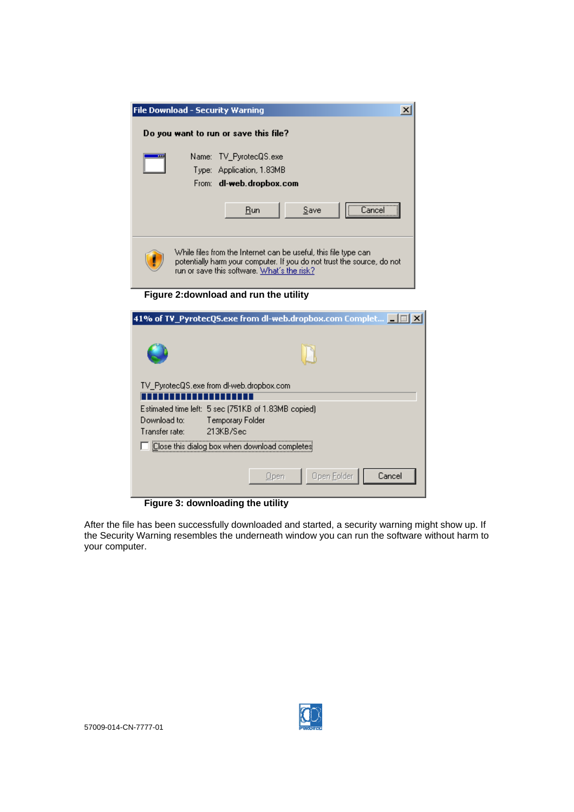| <b>File Download - Security Warning</b> | ×                                                                                                                                                                                        |
|-----------------------------------------|------------------------------------------------------------------------------------------------------------------------------------------------------------------------------------------|
|                                         | Do you want to run or save this file?                                                                                                                                                    |
| Name: I<br>Type:                        | TV PyrotecQS.exe<br>Application, 1.83MB<br>From: dl-web.dropbox.com                                                                                                                      |
|                                         | Run<br>Save<br>Lancel                                                                                                                                                                    |
|                                         | While files from the Internet can be useful, this file type can<br>potentially harm your computer. If you do not trust the source, do not<br>run or save this software. What's the risk? |
|                                         | Figure 2: download and run the utility                                                                                                                                                   |
|                                         | 41% of TV_PyrotecQS.exe from dl-web.dropbox.com Complet       3   X                                                                                                                      |
|                                         |                                                                                                                                                                                          |
|                                         | TV_PyrotecQS.exe from dl-web.dropbox.com                                                                                                                                                 |
|                                         |                                                                                                                                                                                          |
| Download to:<br>Transfer rate:          | Estimated time left: 5 sec (751KB of 1.83MB copied)<br>Temporary Folder<br>213KB/Sec                                                                                                     |



After the file has been successfully downloaded and started, a security warning might show up. If the Security Warning resembles the underneath window you can run the software without harm to your computer.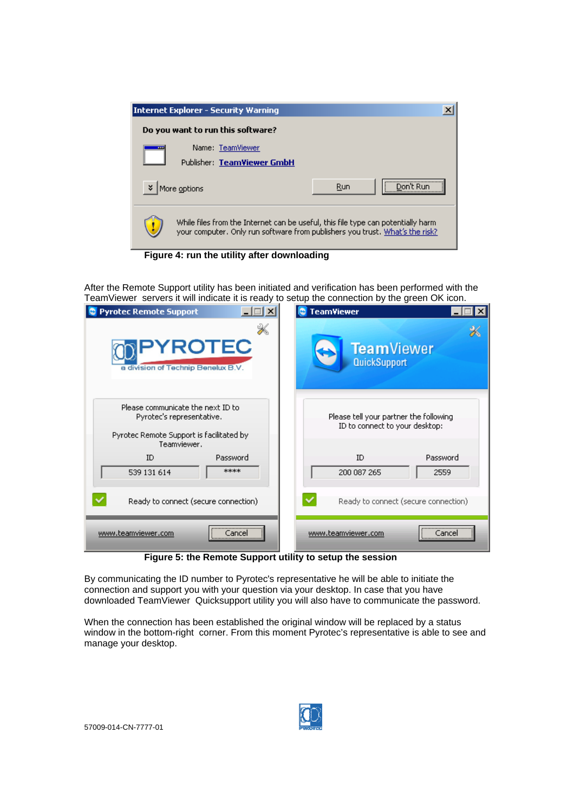|                                                                                                                                                                  | <b>Internet Explorer - Security Warning</b>    |     | $\boldsymbol{\mathsf{x}}$ |
|------------------------------------------------------------------------------------------------------------------------------------------------------------------|------------------------------------------------|-----|---------------------------|
|                                                                                                                                                                  | Do you want to run this software?              |     |                           |
|                                                                                                                                                                  | Name: TeamViewer<br>Publisher: TeamViewer GmbH |     |                           |
| ×                                                                                                                                                                | More options                                   | Run | <br>Don't Run             |
| While files from the Internet can be useful, this file type can potentially harm<br>your computer. Only run software from publishers you trust. What's the risk? |                                                |     |                           |

**Figure 4: run the utility after downloading** 

After the Remote Support utility has been initiated and verification has been performed with the TeamViewer servers it will indicate it is ready to setup the connection by the green OK icon.

| <b>Pyrotec Remote Support</b>                                                                                             | <b>TeamViewer</b>                                                        |
|---------------------------------------------------------------------------------------------------------------------------|--------------------------------------------------------------------------|
| PYROTEC                                                                                                                   | <b>TeamViewer</b>                                                        |
| a division of Technip Benelux B.V.                                                                                        | QuickSupport                                                             |
| Please communicate the next ID to<br>Pyrotec's representative.<br>Pyrotec Remote Support is facilitated by<br>Teamviewer. | Please tell your partner the following<br>ID to connect to your desktop: |
| ID                                                                                                                        | Password                                                                 |
| Password                                                                                                                  | ID                                                                       |
| ****                                                                                                                      | 200 087 265                                                              |
| 539 131 614                                                                                                               | 2559                                                                     |
| Ready to connect (secure connection)                                                                                      | Ready to connect (secure connection)                                     |
| www.teamviewer.com                                                                                                        | www.teamviewer.com                                                       |
| Cancel                                                                                                                    | Cancel                                                                   |
|                                                                                                                           |                                                                          |

**Figure 5: the Remote Support utility to setup the session** 

By communicating the ID number to Pyrotec's representative he will be able to initiate the connection and support you with your question via your desktop. In case that you have downloaded TeamViewer Quicksupport utility you will also have to communicate the password.

When the connection has been established the original window will be replaced by a status window in the bottom-right corner. From this moment Pyrotec's representative is able to see and manage your desktop.

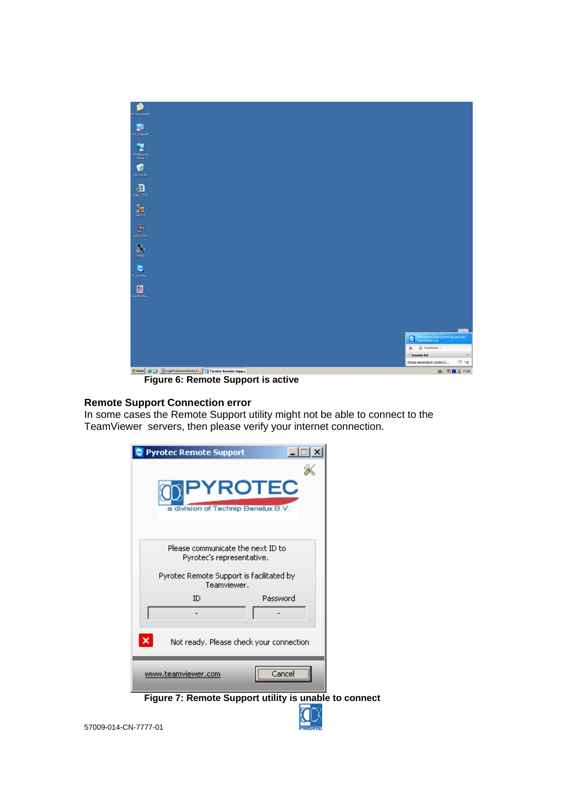

**Figure 6: Remote Support is active** 

#### **Remote Support Connection error**

In some cases the Remote Support utility might not be able to connect to the TeamViewer servers, then please verify your internet connection.

| <b>Pyrotec Remote Support</b>                           |  |
|---------------------------------------------------------|--|
|                                                         |  |
| <b>PYROTEC</b>                                          |  |
| a division of Technip Benelux B.V.                      |  |
| Please communicate the next ID to                       |  |
| Pyrotec's representative.                               |  |
| Pyrotec Remote Support is facilitated by<br>Teamviewer. |  |
| Password<br>ID                                          |  |
|                                                         |  |
| Not ready. Please check your connection                 |  |
| www.teamviewer.com<br>Cancel                            |  |
| Figure 7: Remote Support utility is unable to connect   |  |

 $\mathbf{v}$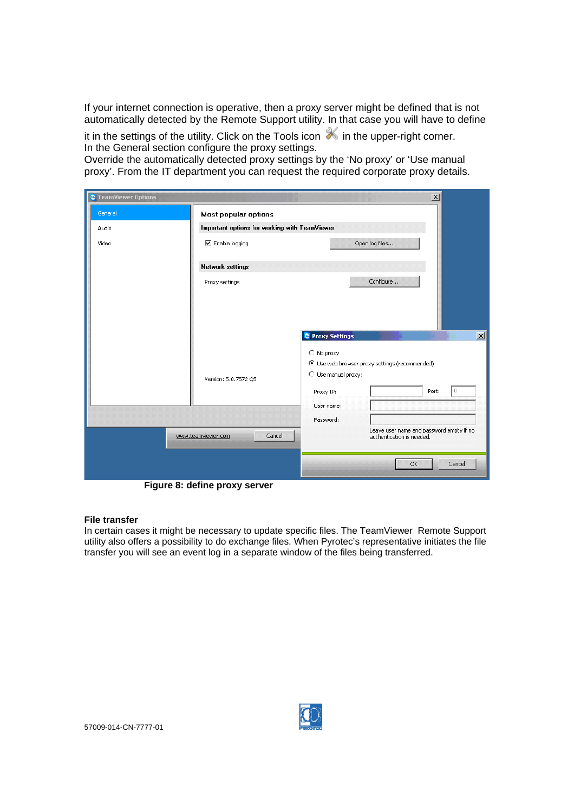If your internet connection is operative, then a proxy server might be defined that is not automatically detected by the Remote Support utility. In that case you will have to define

it in the settings of the utility. Click on the Tools icon  $\mathbb X$  in the upper-right corner. In the General section configure the proxy settings.

Override the automatically detected proxy settings by the 'No proxy' or 'Use manual proxy'. From the IT department you can request the required corporate proxy details.

| <b>C</b> TeamViewer Options |                                               | $\vert x \vert$                                                       |
|-----------------------------|-----------------------------------------------|-----------------------------------------------------------------------|
| General                     | Most popular options                          |                                                                       |
| Audio                       | Important options for working with TeamViewer |                                                                       |
| Video                       | <b>☑</b> Enable logging                       | Open log files                                                        |
|                             | <b>Network settings</b>                       |                                                                       |
|                             | Proxy settings                                | Configure                                                             |
|                             |                                               |                                                                       |
|                             |                                               |                                                                       |
|                             |                                               | $\vert x \vert$<br>Proxy Settings                                     |
|                             |                                               | C No proxy                                                            |
|                             |                                               | C Use web browser proxy settings (recommended)<br>O Use manual proxy: |
|                             | Version: 5.0.7572 QS                          | Port:<br>0<br>Proxy IP:                                               |
|                             |                                               | User name:                                                            |
|                             |                                               | Password:                                                             |
|                             | Cancel<br>www.teamviewer.com                  | Leave user name and password empty if no<br>authentication is needed. |
|                             |                                               | OK<br>Cancel                                                          |

**Figure 8: define proxy server** 

#### **File transfer**

In certain cases it might be necessary to update specific files. The TeamViewer Remote Support utility also offers a possibility to do exchange files. When Pyrotec's representative initiates the file transfer you will see an event log in a separate window of the files being transferred.